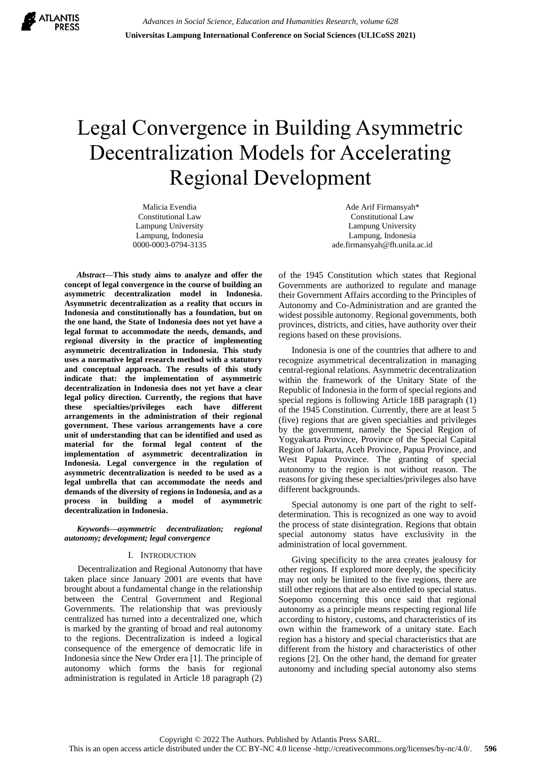

# Legal Convergence in Building Asymmetric Decentralization Models for Accelerating Regional Development

Malicia Evendia Constitutional Law Lampung University Lampung, Indonesia 0000-0003-0794-3135

*Abstract***—This study aims to analyze and offer the concept of legal convergence in the course of building an asymmetric decentralization model in Indonesia. Asymmetric decentralization as a reality that occurs in Indonesia and constitutionally has a foundation, but on the one hand, the State of Indonesia does not yet have a legal format to accommodate the needs, demands, and regional diversity in the practice of implementing asymmetric decentralization in Indonesia. This study uses a normative legal research method with a statutory and conceptual approach. The results of this study indicate that: the implementation of asymmetric decentralization in Indonesia does not yet have a clear legal policy direction. Currently, the regions that have these specialties/privileges each have different arrangements in the administration of their regional government. These various arrangements have a core unit of understanding that can be identified and used as material for the formal legal content of the implementation of asymmetric decentralization in Indonesia. Legal convergence in the regulation of asymmetric decentralization is needed to be used as a legal umbrella that can accommodate the needs and demands of the diversity of regions in Indonesia, and as a process in building a model of asymmetric decentralization in Indonesia.**

#### *Keywords—asymmetric decentralization; regional autonomy; development; legal convergence*

## I. INTRODUCTION

Decentralization and Regional Autonomy that have taken place since January 2001 are events that have brought about a fundamental change in the relationship between the Central Government and Regional Governments. The relationship that was previously centralized has turned into a decentralized one, which is marked by the granting of broad and real autonomy to the regions. Decentralization is indeed a logical consequence of the emergence of democratic life in Indonesia since the New Order era [1]. The principle of autonomy which forms the basis for regional administration is regulated in Article 18 paragraph (2)

Ade Arif Firmansyah\* Constitutional Law Lampung University Lampung, Indonesia ade.firmansyah@fh.unila.ac.id

of the 1945 Constitution which states that Regional Governments are authorized to regulate and manage their Government Affairs according to the Principles of Autonomy and Co-Administration and are granted the widest possible autonomy. Regional governments, both provinces, districts, and cities, have authority over their regions based on these provisions.

Indonesia is one of the countries that adhere to and recognize asymmetrical decentralization in managing central-regional relations. Asymmetric decentralization within the framework of the Unitary State of the Republic of Indonesia in the form of special regions and special regions is following Article 18B paragraph (1) of the 1945 Constitution. Currently, there are at least 5 (five) regions that are given specialties and privileges by the government, namely the Special Region of Yogyakarta Province, Province of the Special Capital Region of Jakarta, Aceh Province, Papua Province, and West Papua Province. The granting of special autonomy to the region is not without reason. The reasons for giving these specialties/privileges also have different backgrounds.

Special autonomy is one part of the right to selfdetermination. This is recognized as one way to avoid the process of state disintegration. Regions that obtain special autonomy status have exclusivity in the administration of local government.

Giving specificity to the area creates jealousy for other regions. If explored more deeply, the specificity may not only be limited to the five regions, there are still other regions that are also entitled to special status. Soepomo concerning this once said that regional autonomy as a principle means respecting regional life according to history, customs, and characteristics of its own within the framework of a unitary state. Each region has a history and special characteristics that are different from the history and characteristics of other regions [2]. On the other hand, the demand for greater autonomy and including special autonomy also stems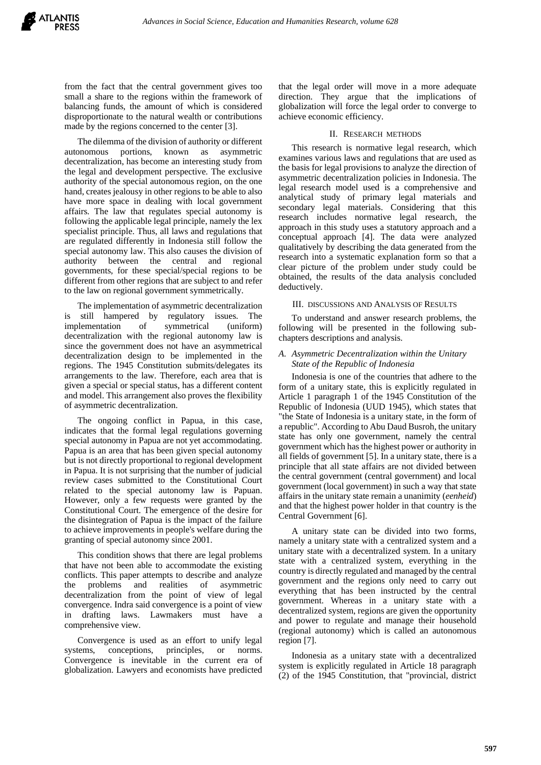from the fact that the central government gives too small a share to the regions within the framework of balancing funds, the amount of which is considered disproportionate to the natural wealth or contributions made by the regions concerned to the center [3].

The dilemma of the division of authority or different autonomous portions, known as asymmetric decentralization, has become an interesting study from the legal and development perspective. The exclusive authority of the special autonomous region, on the one hand, creates jealousy in other regions to be able to also have more space in dealing with local government affairs. The law that regulates special autonomy is following the applicable legal principle, namely the lex specialist principle. Thus, all laws and regulations that are regulated differently in Indonesia still follow the special autonomy law. This also causes the division of authority between the central and regional governments, for these special/special regions to be different from other regions that are subject to and refer to the law on regional government symmetrically.

The implementation of asymmetric decentralization is still hampered by regulatory issues. The implementation of symmetrical (uniform) decentralization with the regional autonomy law is since the government does not have an asymmetrical decentralization design to be implemented in the regions. The 1945 Constitution submits/delegates its arrangements to the law. Therefore, each area that is given a special or special status, has a different content and model. This arrangement also proves the flexibility of asymmetric decentralization.

The ongoing conflict in Papua, in this case, indicates that the formal legal regulations governing special autonomy in Papua are not yet accommodating. Papua is an area that has been given special autonomy but is not directly proportional to regional development in Papua. It is not surprising that the number of judicial review cases submitted to the Constitutional Court related to the special autonomy law is Papuan. However, only a few requests were granted by the Constitutional Court. The emergence of the desire for the disintegration of Papua is the impact of the failure to achieve improvements in people's welfare during the granting of special autonomy since 2001.

This condition shows that there are legal problems that have not been able to accommodate the existing conflicts. This paper attempts to describe and analyze the problems and realities of asymmetric decentralization from the point of view of legal convergence. Indra said convergence is a point of view in drafting laws. Lawmakers must have a comprehensive view.

Convergence is used as an effort to unify legal systems, conceptions, principles, or norms. Convergence is inevitable in the current era of globalization. Lawyers and economists have predicted

that the legal order will move in a more adequate direction. They argue that the implications of globalization will force the legal order to converge to achieve economic efficiency.

## II. RESEARCH METHODS

This research is normative legal research, which examines various laws and regulations that are used as the basis for legal provisions to analyze the direction of asymmetric decentralization policies in Indonesia. The legal research model used is a comprehensive and analytical study of primary legal materials and secondary legal materials. Considering that this research includes normative legal research, the approach in this study uses a statutory approach and a conceptual approach [4]. The data were analyzed qualitatively by describing the data generated from the research into a systematic explanation form so that a clear picture of the problem under study could be obtained, the results of the data analysis concluded deductively.

#### III. DISCUSSIONS AND ANALYSIS OF RESULTS

To understand and answer research problems, the following will be presented in the following subchapters descriptions and analysis.

## *A. Asymmetric Decentralization within the Unitary State of the Republic of Indonesia*

Indonesia is one of the countries that adhere to the form of a unitary state, this is explicitly regulated in Article 1 paragraph 1 of the 1945 Constitution of the Republic of Indonesia (UUD 1945), which states that "the State of Indonesia is a unitary state, in the form of a republic". According to Abu Daud Busroh, the unitary state has only one government, namely the central government which has the highest power or authority in all fields of government [5]. In a unitary state, there is a principle that all state affairs are not divided between the central government (central government) and local government (local government) in such a way that state affairs in the unitary state remain a unanimity (*eenheid*) and that the highest power holder in that country is the Central Government [6].

A unitary state can be divided into two forms, namely a unitary state with a centralized system and a unitary state with a decentralized system. In a unitary state with a centralized system, everything in the country is directly regulated and managed by the central government and the regions only need to carry out everything that has been instructed by the central government. Whereas in a unitary state with a decentralized system, regions are given the opportunity and power to regulate and manage their household (regional autonomy) which is called an autonomous region [7].

Indonesia as a unitary state with a decentralized system is explicitly regulated in Article 18 paragraph (2) of the 1945 Constitution, that "provincial, district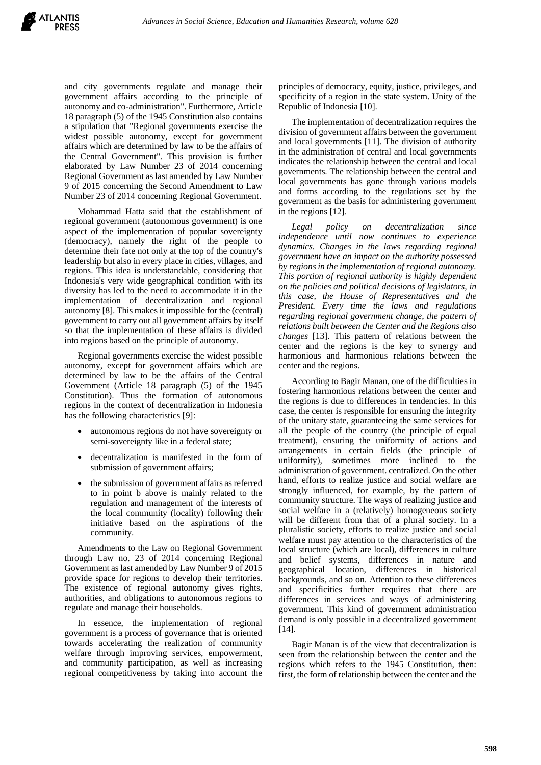and city governments regulate and manage their government affairs according to the principle of autonomy and co-administration". Furthermore, Article 18 paragraph (5) of the 1945 Constitution also contains a stipulation that "Regional governments exercise the widest possible autonomy, except for government affairs which are determined by law to be the affairs of the Central Government". This provision is further elaborated by Law Number 23 of 2014 concerning Regional Government as last amended by Law Number 9 of 2015 concerning the Second Amendment to Law Number 23 of 2014 concerning Regional Government.

Mohammad Hatta said that the establishment of regional government (autonomous government) is one aspect of the implementation of popular sovereignty (democracy), namely the right of the people to determine their fate not only at the top of the country's leadership but also in every place in cities, villages, and regions. This idea is understandable, considering that Indonesia's very wide geographical condition with its diversity has led to the need to accommodate it in the implementation of decentralization and regional autonomy [8]. This makes it impossible for the (central) government to carry out all government affairs by itself so that the implementation of these affairs is divided into regions based on the principle of autonomy.

Regional governments exercise the widest possible autonomy, except for government affairs which are determined by law to be the affairs of the Central Government (Article 18 paragraph (5) of the 1945 Constitution). Thus the formation of autonomous regions in the context of decentralization in Indonesia has the following characteristics [9]:

- autonomous regions do not have sovereignty or semi-sovereignty like in a federal state;
- decentralization is manifested in the form of submission of government affairs;
- the submission of government affairs as referred to in point b above is mainly related to the regulation and management of the interests of the local community (locality) following their initiative based on the aspirations of the community.

Amendments to the Law on Regional Government through Law no. 23 of 2014 concerning Regional Government as last amended by Law Number 9 of 2015 provide space for regions to develop their territories. The existence of regional autonomy gives rights, authorities, and obligations to autonomous regions to regulate and manage their households.

In essence, the implementation of regional government is a process of governance that is oriented towards accelerating the realization of community welfare through improving services, empowerment, and community participation, as well as increasing regional competitiveness by taking into account the

principles of democracy, equity, justice, privileges, and specificity of a region in the state system. Unity of the Republic of Indonesia [10].

The implementation of decentralization requires the division of government affairs between the government and local governments [11]. The division of authority in the administration of central and local governments indicates the relationship between the central and local governments. The relationship between the central and local governments has gone through various models and forms according to the regulations set by the government as the basis for administering government in the regions [12].

*Legal policy on decentralization since independence until now continues to experience dynamics. Changes in the laws regarding regional government have an impact on the authority possessed by regions in the implementation of regional autonomy. This portion of regional authority is highly dependent on the policies and political decisions of legislators, in this case, the House of Representatives and the President. Every time the laws and regulations regarding regional government change, the pattern of relations built between the Center and the Regions also changes* [13]. This pattern of relations between the center and the regions is the key to synergy and harmonious and harmonious relations between the center and the regions.

According to Bagir Manan, one of the difficulties in fostering harmonious relations between the center and the regions is due to differences in tendencies. In this case, the center is responsible for ensuring the integrity of the unitary state, guaranteeing the same services for all the people of the country (the principle of equal treatment), ensuring the uniformity of actions and arrangements in certain fields (the principle of uniformity), sometimes more inclined to the administration of government. centralized. On the other hand, efforts to realize justice and social welfare are strongly influenced, for example, by the pattern of community structure. The ways of realizing justice and social welfare in a (relatively) homogeneous society will be different from that of a plural society. In a pluralistic society, efforts to realize justice and social welfare must pay attention to the characteristics of the local structure (which are local), differences in culture and belief systems, differences in nature and geographical location, differences in historical backgrounds, and so on. Attention to these differences and specificities further requires that there are differences in services and ways of administering government. This kind of government administration demand is only possible in a decentralized government [14].

Bagir Manan is of the view that decentralization is seen from the relationship between the center and the regions which refers to the 1945 Constitution, then: first, the form of relationship between the center and the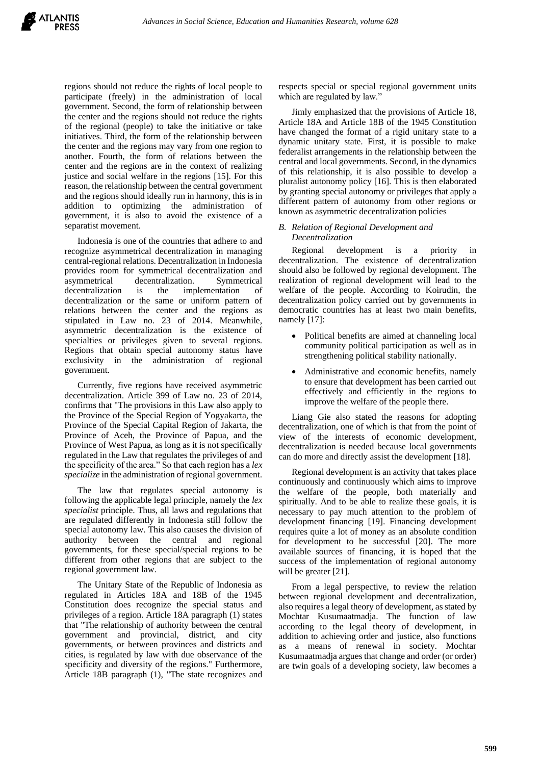regions should not reduce the rights of local people to participate (freely) in the administration of local government. Second, the form of relationship between the center and the regions should not reduce the rights of the regional (people) to take the initiative or take initiatives. Third, the form of the relationship between the center and the regions may vary from one region to another. Fourth, the form of relations between the center and the regions are in the context of realizing justice and social welfare in the regions [15]. For this reason, the relationship between the central government and the regions should ideally run in harmony, this is in addition to optimizing the administration of government, it is also to avoid the existence of a separatist movement.

Indonesia is one of the countries that adhere to and recognize asymmetrical decentralization in managing central-regional relations. Decentralization in Indonesia provides room for symmetrical decentralization and asymmetrical decentralization. Symmetrical decentralization is the implementation of decentralization or the same or uniform pattern of relations between the center and the regions as stipulated in Law no. 23 of 2014. Meanwhile, asymmetric decentralization is the existence of specialties or privileges given to several regions. Regions that obtain special autonomy status have exclusivity in the administration of regional government.

Currently, five regions have received asymmetric decentralization. Article 399 of Law no. 23 of 2014, confirms that "The provisions in this Law also apply to the Province of the Special Region of Yogyakarta, the Province of the Special Capital Region of Jakarta, the Province of Aceh, the Province of Papua, and the Province of West Papua, as long as it is not specifically regulated in the Law that regulates the privileges of and the specificity of the area." So that each region has a *lex specialize* in the administration of regional government.

The law that regulates special autonomy is following the applicable legal principle, namely the *lex specialist* principle. Thus, all laws and regulations that are regulated differently in Indonesia still follow the special autonomy law. This also causes the division of authority between the central and regional governments, for these special/special regions to be different from other regions that are subject to the regional government law.

The Unitary State of the Republic of Indonesia as regulated in Articles 18A and 18B of the 1945 Constitution does recognize the special status and privileges of a region. Article 18A paragraph (1) states that "The relationship of authority between the central government and provincial, district, and city governments, or between provinces and districts and cities, is regulated by law with due observance of the specificity and diversity of the regions." Furthermore, Article 18B paragraph (1), "The state recognizes and

respects special or special regional government units which are regulated by law.'

Jimly emphasized that the provisions of Article 18, Article 18A and Article 18B of the 1945 Constitution have changed the format of a rigid unitary state to a dynamic unitary state. First, it is possible to make federalist arrangements in the relationship between the central and local governments. Second, in the dynamics of this relationship, it is also possible to develop a pluralist autonomy policy [16]. This is then elaborated by granting special autonomy or privileges that apply a different pattern of autonomy from other regions or known as asymmetric decentralization policies

# *B. Relation of Regional Development and Decentralization*

Regional development is a priority in decentralization. The existence of decentralization should also be followed by regional development. The realization of regional development will lead to the welfare of the people. According to Koirudin, the decentralization policy carried out by governments in democratic countries has at least two main benefits, namely [17]:

- Political benefits are aimed at channeling local community political participation as well as in strengthening political stability nationally.
- Administrative and economic benefits, namely to ensure that development has been carried out effectively and efficiently in the regions to improve the welfare of the people there.

Liang Gie also stated the reasons for adopting decentralization, one of which is that from the point of view of the interests of economic development, decentralization is needed because local governments can do more and directly assist the development [18].

Regional development is an activity that takes place continuously and continuously which aims to improve the welfare of the people, both materially and spiritually. And to be able to realize these goals, it is necessary to pay much attention to the problem of development financing [19]. Financing development requires quite a lot of money as an absolute condition for development to be successful [20]. The more available sources of financing, it is hoped that the success of the implementation of regional autonomy will be greater [21].

From a legal perspective, to review the relation between regional development and decentralization, also requires a legal theory of development, as stated by Mochtar Kusumaatmadja. The function of law according to the legal theory of development, in addition to achieving order and justice, also functions as a means of renewal in society. Mochtar Kusumaatmadja argues that change and order (or order) are twin goals of a developing society, law becomes a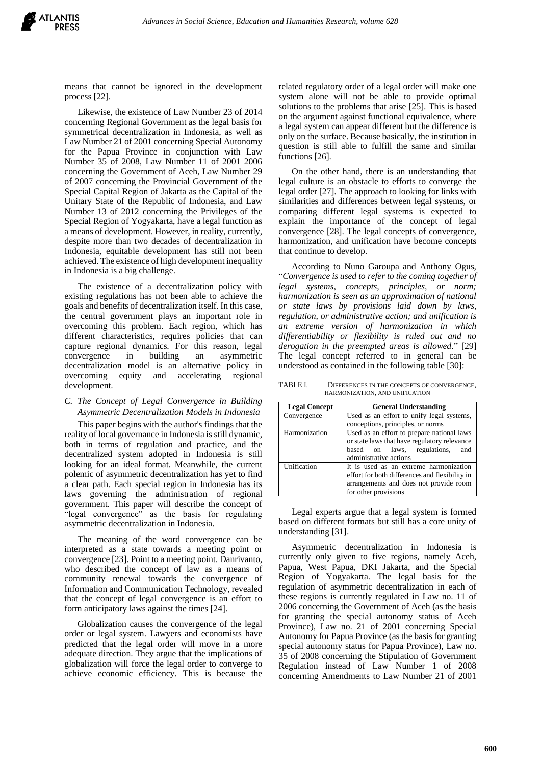

means that cannot be ignored in the development process [22].

Likewise, the existence of Law Number 23 of 2014 concerning Regional Government as the legal basis for symmetrical decentralization in Indonesia, as well as Law Number 21 of 2001 concerning Special Autonomy for the Papua Province in conjunction with Law Number 35 of 2008, Law Number 11 of 2001 2006 concerning the Government of Aceh, Law Number 29 of 2007 concerning the Provincial Government of the Special Capital Region of Jakarta as the Capital of the Unitary State of the Republic of Indonesia, and Law Number 13 of 2012 concerning the Privileges of the Special Region of Yogyakarta, have a legal function as a means of development. However, in reality, currently, despite more than two decades of decentralization in Indonesia, equitable development has still not been achieved. The existence of high development inequality in Indonesia is a big challenge.

The existence of a decentralization policy with existing regulations has not been able to achieve the goals and benefits of decentralization itself. In this case, the central government plays an important role in overcoming this problem. Each region, which has different characteristics, requires policies that can capture regional dynamics. For this reason, legal convergence in building an asymmetric decentralization model is an alternative policy in overcoming equity and accelerating regional development.

## *C. The Concept of Legal Convergence in Building Asymmetric Decentralization Models in Indonesia*

This paper begins with the author's findings that the reality of local governance in Indonesia is still dynamic, both in terms of regulation and practice, and the decentralized system adopted in Indonesia is still looking for an ideal format. Meanwhile, the current polemic of asymmetric decentralization has yet to find a clear path. Each special region in Indonesia has its laws governing the administration of regional government. This paper will describe the concept of "legal convergence" as the basis for regulating asymmetric decentralization in Indonesia.

The meaning of the word convergence can be interpreted as a state towards a meeting point or convergence [23]. Point to a meeting point. Danrivanto, who described the concept of law as a means of community renewal towards the convergence of Information and Communication Technology, revealed that the concept of legal convergence is an effort to form anticipatory laws against the times [24].

Globalization causes the convergence of the legal order or legal system. Lawyers and economists have predicted that the legal order will move in a more adequate direction. They argue that the implications of globalization will force the legal order to converge to achieve economic efficiency. This is because the related regulatory order of a legal order will make one system alone will not be able to provide optimal solutions to the problems that arise [25]. This is based on the argument against functional equivalence, where a legal system can appear different but the difference is only on the surface. Because basically, the institution in question is still able to fulfill the same and similar functions [26].

On the other hand, there is an understanding that legal culture is an obstacle to efforts to converge the legal order [27]. The approach to looking for links with similarities and differences between legal systems, or comparing different legal systems is expected to explain the importance of the concept of legal convergence [28]. The legal concepts of convergence, harmonization, and unification have become concepts that continue to develop.

According to Nuno Garoupa and Anthony Ogus, "*Convergence is used to refer to the coming together of legal systems, concepts, principles, or norm; harmonization is seen as an approximation of national or state laws by provisions laid down by laws, regulation, or administrative action; and unification is an extreme version of harmonization in which differentiability or flexibility is ruled out and no derogation in the preempted areas is allowed*." [29] The legal concept referred to in general can be understood as contained in the following table [30]:

TABLE I. DIFFERENCES IN THE CONCEPTS OF CONVERGENCE, HARMONIZATION, AND UNIFICATION

| <b>Legal Concept</b> | <b>General Understanding</b>                                                                                                                               |
|----------------------|------------------------------------------------------------------------------------------------------------------------------------------------------------|
| Convergence          | Used as an effort to unify legal systems,                                                                                                                  |
|                      | conceptions, principles, or norms                                                                                                                          |
| Harmonization        | Used as an effort to prepare national laws<br>or state laws that have regulatory relevance<br>based on laws, regulations,<br>and<br>administrative actions |
| Unification          | It is used as an extreme harmonization<br>effort for both differences and flexibility in<br>arrangements and does not provide room<br>for other provisions |

Legal experts argue that a legal system is formed based on different formats but still has a core unity of understanding [31].

Asymmetric decentralization in Indonesia is currently only given to five regions, namely Aceh, Papua, West Papua, DKI Jakarta, and the Special Region of Yogyakarta. The legal basis for the regulation of asymmetric decentralization in each of these regions is currently regulated in Law no. 11 of 2006 concerning the Government of Aceh (as the basis for granting the special autonomy status of Aceh Province), Law no. 21 of 2001 concerning Special Autonomy for Papua Province (as the basis for granting special autonomy status for Papua Province), Law no. 35 of 2008 concerning the Stipulation of Government Regulation instead of Law Number 1 of 2008 concerning Amendments to Law Number 21 of 2001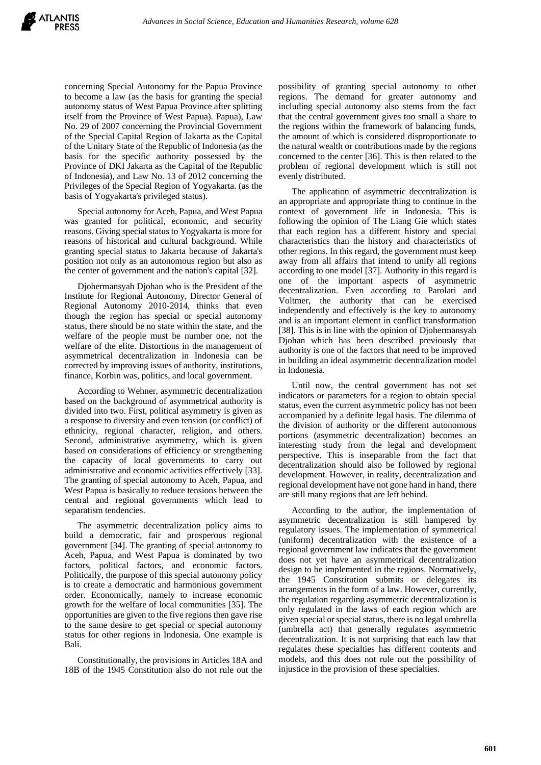concerning Special Autonomy for the Papua Province to become a law (as the basis for granting the special autonomy status of West Papua Province after splitting itself from the Province of West Papua). Papua), Law No. 29 of 2007 concerning the Provincial Government of the Special Capital Region of Jakarta as the Capital of the Unitary State of the Republic of Indonesia (as the basis for the specific authority possessed by the Province of DKI Jakarta as the Capital of the Republic of Indonesia), and Law No. 13 of 2012 concerning the Privileges of the Special Region of Yogyakarta. (as the basis of Yogyakarta's privileged status).

Special autonomy for Aceh, Papua, and West Papua was granted for political, economic, and security reasons. Giving special status to Yogyakarta is more for reasons of historical and cultural background. While granting special status to Jakarta because of Jakarta's position not only as an autonomous region but also as the center of government and the nation's capital [32].

Djohermansyah Djohan who is the President of the Institute for Regional Autonomy, Director General of Regional Autonomy 2010-2014, thinks that even though the region has special or special autonomy status, there should be no state within the state, and the welfare of the people must be number one, not the welfare of the elite. Distortions in the management of asymmetrical decentralization in Indonesia can be corrected by improving issues of authority, institutions, finance, Korbin was, politics, and local government.

According to Wehner, asymmetric decentralization based on the background of asymmetrical authority is divided into two. First, political asymmetry is given as a response to diversity and even tension (or conflict) of ethnicity, regional character, religion, and others. Second, administrative asymmetry, which is given based on considerations of efficiency or strengthening the capacity of local governments to carry out administrative and economic activities effectively [33]. The granting of special autonomy to Aceh, Papua, and West Papua is basically to reduce tensions between the central and regional governments which lead to separatism tendencies.

The asymmetric decentralization policy aims to build a democratic, fair and prosperous regional government [34]. The granting of special autonomy to Aceh, Papua, and West Papua is dominated by two factors, political factors, and economic factors. Politically, the purpose of this special autonomy policy is to create a democratic and harmonious government order. Economically, namely to increase economic growth for the welfare of local communities [35]. The opportunities are given to the five regions then gave rise to the same desire to get special or special autonomy status for other regions in Indonesia. One example is Bali.

Constitutionally, the provisions in Articles 18A and 18B of the 1945 Constitution also do not rule out the

possibility of granting special autonomy to other regions. The demand for greater autonomy and including special autonomy also stems from the fact that the central government gives too small a share to the regions within the framework of balancing funds, the amount of which is considered disproportionate to the natural wealth or contributions made by the regions concerned to the center [36]. This is then related to the problem of regional development which is still not evenly distributed.

The application of asymmetric decentralization is an appropriate and appropriate thing to continue in the context of government life in Indonesia. This is following the opinion of The Liang Gie which states that each region has a different history and special characteristics than the history and characteristics of other regions. In this regard, the government must keep away from all affairs that intend to unify all regions according to one model [37]. Authority in this regard is one of the important aspects of asymmetric decentralization. Even according to Parolari and Voltmer, the authority that can be exercised independently and effectively is the key to autonomy and is an important element in conflict transformation [38]. This is in line with the opinion of Djohermansyah Djohan which has been described previously that authority is one of the factors that need to be improved in building an ideal asymmetric decentralization model in Indonesia.

Until now, the central government has not set indicators or parameters for a region to obtain special status, even the current asymmetric policy has not been accompanied by a definite legal basis. The dilemma of the division of authority or the different autonomous portions (asymmetric decentralization) becomes an interesting study from the legal and development perspective. This is inseparable from the fact that decentralization should also be followed by regional development. However, in reality, decentralization and regional development have not gone hand in hand, there are still many regions that are left behind.

According to the author, the implementation of asymmetric decentralization is still hampered by regulatory issues. The implementation of symmetrical (uniform) decentralization with the existence of a regional government law indicates that the government does not yet have an asymmetrical decentralization design to be implemented in the regions. Normatively, the 1945 Constitution submits or delegates its arrangements in the form of a law. However, currently, the regulation regarding asymmetric decentralization is only regulated in the laws of each region which are given special or special status, there is no legal umbrella (umbrella act) that generally regulates asymmetric decentralization. It is not surprising that each law that regulates these specialties has different contents and models, and this does not rule out the possibility of injustice in the provision of these specialties.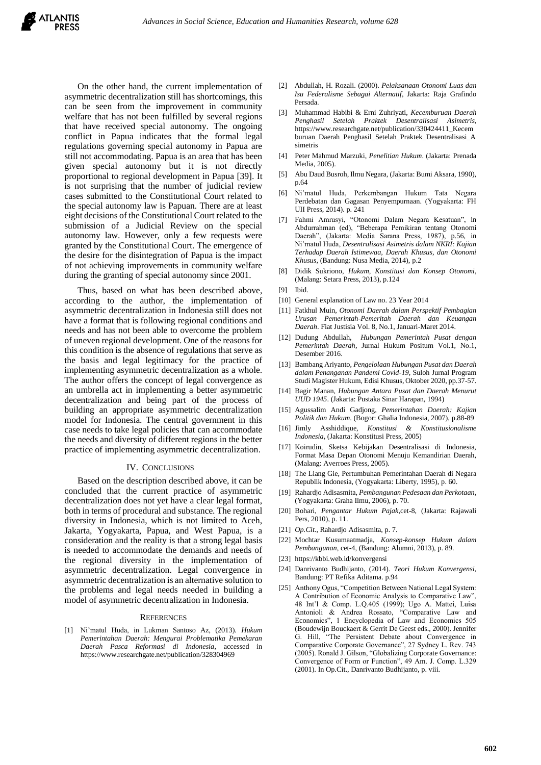On the other hand, the current implementation of asymmetric decentralization still has shortcomings, this can be seen from the improvement in community welfare that has not been fulfilled by several regions that have received special autonomy. The ongoing conflict in Papua indicates that the formal legal regulations governing special autonomy in Papua are still not accommodating. Papua is an area that has been given special autonomy but it is not directly proportional to regional development in Papua [39]. It is not surprising that the number of judicial review cases submitted to the Constitutional Court related to the special autonomy law is Papuan. There are at least eight decisions of the Constitutional Court related to the submission of a Judicial Review on the special autonomy law. However, only a few requests were granted by the Constitutional Court. The emergence of the desire for the disintegration of Papua is the impact of not achieving improvements in community welfare during the granting of special autonomy since 2001.

Thus, based on what has been described above, according to the author, the implementation of asymmetric decentralization in Indonesia still does not have a format that is following regional conditions and needs and has not been able to overcome the problem of uneven regional development. One of the reasons for this condition is the absence of regulations that serve as the basis and legal legitimacy for the practice of implementing asymmetric decentralization as a whole. The author offers the concept of legal convergence as an umbrella act in implementing a better asymmetric decentralization and being part of the process of building an appropriate asymmetric decentralization model for Indonesia. The central government in this case needs to take legal policies that can accommodate the needs and diversity of different regions in the better practice of implementing asymmetric decentralization.

#### IV. CONCLUSIONS

Based on the description described above, it can be concluded that the current practice of asymmetric decentralization does not yet have a clear legal format, both in terms of procedural and substance. The regional diversity in Indonesia, which is not limited to Aceh, Jakarta, Yogyakarta, Papua, and West Papua, is a consideration and the reality is that a strong legal basis is needed to accommodate the demands and needs of the regional diversity in the implementation of asymmetric decentralization. Legal convergence in asymmetric decentralization is an alternative solution to the problems and legal needs needed in building a model of asymmetric decentralization in Indonesia.

#### **REFERENCES**

[1] Ni'matul Huda, in Lukman Santoso Az, (2013). *Hukum Pemerintahan Daerah: Mengurai Problematika Pemekaran Daerah Pasca Reformasi di Indonesia*, accessed in https://www.researchgate.net/publication/328304969

- [2] Abdullah, H. Rozali. (2000). *Pelaksanaan Otonomi Luas dan Isu Federalisme Sebagai Alternatif*, Jakarta: Raja Grafindo Persada.
- [3] Muhammad Habibi & Erni Zuhriyati, *Kecemburuan Daerah Penghasil Setelah Praktek Desentralisasi Asimetris*, https://www.researchgate.net/publication/330424411\_Kecem buruan\_Daerah\_Penghasil\_Setelah\_Praktek\_Desentralisasi\_A simetris
- [4] Peter Mahmud Marzuki, *Penelitian Hukum*. (Jakarta: Prenada Media, 2005).
- [5] Abu Daud Busroh, Ilmu Negara, (Jakarta: Bumi Aksara, 1990), p.64
- [6] Ni'matul Huda, Perkembangan Hukum Tata Negara Perdebatan dan Gagasan Penyempurnaan. (Yogyakarta: FH UII Press, 2014). p. 241
- [7] Fahmi Amrusyi, "Otonomi Dalam Negara Kesatuan", in Abdurrahman (ed), "Beberapa Pemikiran tentang Otonomi Daerah", (Jakarta: Media Sarana Press, 1987), p.56, in Ni'matul Huda, *Desentralisasi Asimetris dalam NKRI: Kajian Terhadap Daerah Istimewaa, Daerah Khusus, dan Otonomi Khusus*, (Bandung: Nusa Media, 2014), p.2
- [8] Didik Sukriono, *Hukum, Konstitusi dan Konsep Otonomi*, (Malang: Setara Press, 2013), p.124
- [9] Ibid.
- [10] General explanation of Law no. 23 Year 2014
- [11] Fatkhul Muin, *Otonomi Daerah dalam Perspektif Pembagian Urusan Pemerintah-Pemeritah Daerah dan Keuangan Daerah*. Fiat Justisia Vol. 8, No.1, Januari-Maret 2014.
- [12] Dudung Abdullah, *Hubungan Pemerintah Pusat dengan Pemerintah Daerah*, Jurnal Hukum Positum Vol.1, No.1, Desember 2016.
- [13] Bambang Ariyanto, *Pengelolaan Hubungan Pusat dan Daerah dalam Penanganan Pandemi Covid-19*, Suloh Jurnal Program Studi Magister Hukum, Edisi Khusus, Oktober 2020, pp.37-57.
- [14] Bagir Manan, *Hubungan Antara Pusat dan Daerah Menurut UUD 1945*. (Jakarta: Pustaka Sinar Harapan, 1994)
- [15] Agussalim Andi Gadjong, *Pemerintahan Daerah: Kajian Politik dan Hukum*. (Bogor: Ghalia Indonesia, 2007), p.88-89
- [16] Jimly Asshiddique, *Konstitusi & Konstitusionalisme Indonesia*, (Jakarta: Konstitusi Press, 2005)
- [17] Koirudin, Sketsa Kebijakan Desentralisasi di Indonesia, Format Masa Depan Otonomi Menuju Kemandirian Daerah, (Malang: Averroes Press, 2005).
- [18] The Liang Gie, Pertumbuhan Pemerintahan Daerah di Negara Republik Indonesia, (Yogyakarta: Liberty, 1995), p. 60.
- [19] Rahardjo Adisasmita, *Pembangunan Pedesaan dan Perkotaan*, (Yogyakarta: Graha Ilmu, 2006), p. 70.
- [20] Bohari, *Pengantar Hukum Pajak*,cet-8, (Jakarta: Rajawali Pers, 2010), p. 11.
- [21] *Op.Cit*., Rahardjo Adisasmita, p. 7.
- [22] Mochtar Kusumaatmadja, *Konsep-konsep Hukum dalam Pembangunan*, cet-4, (Bandung: Alumni, 2013), p. 89.
- [23] https://kbbi.web.id/konvergensi
- [24] Danrivanto Budhijanto, (2014). *Teori Hukum Konvergensi*, Bandung: PT Refika Aditama. p.94
- [25] Anthony Ogus, "Competition Between National Legal System: A Contribution of Economic Analysis to Comparative Law", 48 Int'l & Comp. L.Q.405 (1999); Ugo A. Mattei, Luisa Antonioli & Andrea Rossato, "Comparative Law and Economics", 1 Encyclopedia of Law and Economics 505 (Boudewijn Bouckaert & Gerrit De Geest eds., 2000). Jennifer G. Hill, "The Persistent Debate about Convergence in Comparative Corporate Governance", 27 Sydney L. Rev. 743 (2005). Ronald J. Gilson, "Globalizing Corporate Governance: Convergence of Form or Function", 49 Am. J. Comp. L.329 (2001). In Op.Cit., Danrivanto Budhijanto, p. viii.